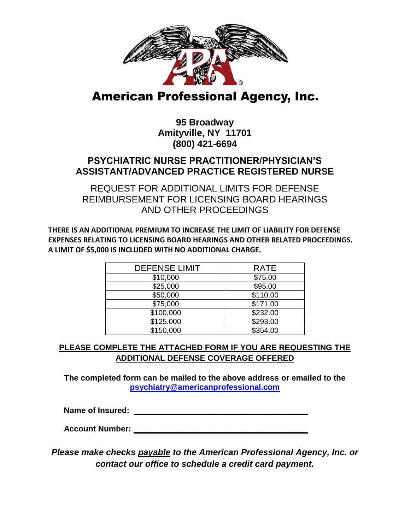

# **American Professional Agency, Inc.**

## **95 Broadway Amityville, NY 11701 (800) 421-6694**

### **PSYCHIATRIC NURSE PRACTITIONER/PHYSICIAN'S ASSISTANT/ADVANCED PRACTICE REGISTERED NURSE**

REQUEST FOR ADDITIONAL LIMITS FOR DEFENSE REIMBURSEMENT FOR LICENSING BOARD HEARINGS AND OTHER PROCEEDINGS

**THERE IS AN ADDITIONAL PREMIUM TO INCREASE THE LIMIT OF LIABILITY FOR DEFENSE EXPENSES RELATING TO LICENSING BOARD HEARINGS AND OTHER RELATED PROCEEDINGS. A LIMIT OF \$5,000 IS INCLUDED WITH NO ADDITIONAL CHARGE.**

| <b>DEFENSE LIMIT</b> | <b>RATE</b> |
|----------------------|-------------|
| \$10,000             | \$75.00     |
| \$25,000             | \$95.00     |
| \$50,000             | \$110.00    |
| \$75,000             | \$171.00    |
| \$100,000            | \$232.00    |
| \$125.000            | \$293.00    |
| \$150,000            | \$354.00    |

#### **PLEASE COMPLETE THE ATTACHED FORM IF YOU ARE REQUESTING THE ADDITIONAL DEFENSE COVERAGE OFFERED**

**The completed form can be mailed to the above address or emailed to the psychiatry@americanprofessional.com**

**Name of Insured:**  $\blacksquare$ 

 **Account Number: \_\_\_\_\_\_\_\_\_\_\_\_\_\_\_\_\_\_\_\_\_\_\_\_\_\_\_\_\_\_\_\_\_\_\_\_\_\_\_**

*Please make checks payable to the American Professional Agency, Inc. or contact our office to schedule a credit card payment.*